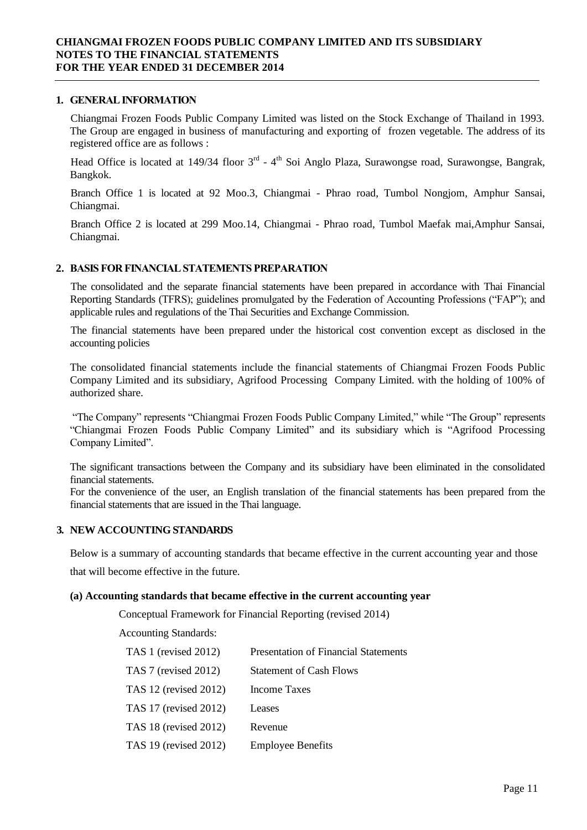### **1. GENERAL INFORMATION**

Chiangmai Frozen Foods Public Company Limited was listed on the Stock Exchange of Thailand in 1993. The Group are engaged in business of manufacturing and exporting of frozen vegetable. The address of its registered office are as follows :

Head Office is located at 149/34 floor 3<sup>rd</sup> - 4<sup>th</sup> Soi Anglo Plaza, Surawongse road, Surawongse, Bangrak, Bangkok.

Branch Office 1 is located at 92 Moo.3, Chiangmai - Phrao road, Tumbol Nongjom, Amphur Sansai, Chiangmai.

Branch Office 2 is located at 299 Moo.14, Chiangmai - Phrao road, Tumbol Maefak mai,Amphur Sansai, Chiangmai.

## **2. BASIS FOR FINANCIAL STATEMENTS PREPARATION**

The consolidated and the separate financial statements have been prepared in accordance with Thai Financial Reporting Standards (TFRS); guidelines promulgated by the Federation of Accounting Professions ("FAP"); and applicable rules and regulations of the Thai Securities and Exchange Commission.

The financial statements have been prepared under the historical cost convention except as disclosed in the accounting policies

The consolidated financial statements include the financial statements of Chiangmai Frozen Foods Public Company Limited and its subsidiary, Agrifood Processing Company Limited. with the holding of 100% of authorized share.

"The Company" represents "Chiangmai Frozen Foods Public Company Limited," while "The Group" represents "Chiangmai Frozen Foods Public Company Limited" and its subsidiary which is "Agrifood Processing Company Limited".

The significant transactions between the Company and its subsidiary have been eliminated in the consolidated financial statements.

For the convenience of the user, an English translation of the financial statements has been prepared from the financial statements that are issued in the Thai language.

#### **3. NEWACCOUNTINGSTANDARDS**

Below is a summary of accounting standards that became effective in the current accounting year and those

that will become effective in the future.

#### **(a) Accounting standards that became effective in the current accounting year**

Conceptual Framework for Financial Reporting (revised 2014)

Accounting Standards:

| TAS 1 (revised 2012)  | <b>Presentation of Financial Statements</b> |
|-----------------------|---------------------------------------------|
| TAS 7 (revised 2012)  | <b>Statement of Cash Flows</b>              |
| TAS 12 (revised 2012) | Income Taxes                                |
| TAS 17 (revised 2012) | Leases                                      |
| TAS 18 (revised 2012) | Revenue                                     |
| TAS 19 (revised 2012) | <b>Employee Benefits</b>                    |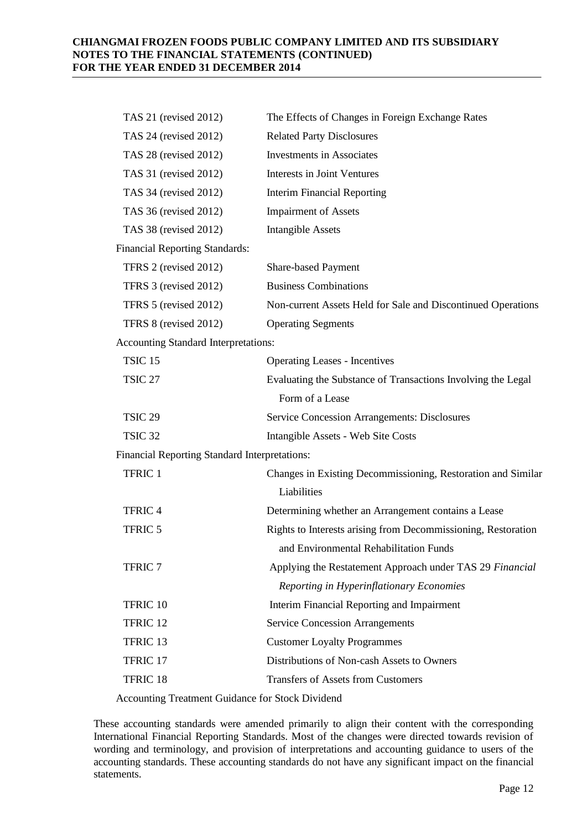| TAS 21 (revised 2012)                         | The Effects of Changes in Foreign Exchange Rates              |
|-----------------------------------------------|---------------------------------------------------------------|
| TAS 24 (revised 2012)                         | <b>Related Party Disclosures</b>                              |
| TAS 28 (revised 2012)                         | <b>Investments in Associates</b>                              |
| TAS 31 (revised 2012)                         | Interests in Joint Ventures                                   |
| TAS 34 (revised 2012)                         | <b>Interim Financial Reporting</b>                            |
| TAS 36 (revised 2012)                         | <b>Impairment of Assets</b>                                   |
| TAS 38 (revised 2012)                         | <b>Intangible Assets</b>                                      |
| <b>Financial Reporting Standards:</b>         |                                                               |
| TFRS 2 (revised 2012)                         | Share-based Payment                                           |
| TFRS 3 (revised 2012)                         | <b>Business Combinations</b>                                  |
| TFRS 5 (revised 2012)                         | Non-current Assets Held for Sale and Discontinued Operations  |
| TFRS 8 (revised 2012)                         | <b>Operating Segments</b>                                     |
| <b>Accounting Standard Interpretations:</b>   |                                                               |
| <b>TSIC 15</b>                                | <b>Operating Leases - Incentives</b>                          |
| <b>TSIC 27</b>                                | Evaluating the Substance of Transactions Involving the Legal  |
|                                               | Form of a Lease                                               |
| <b>TSIC 29</b>                                | <b>Service Concession Arrangements: Disclosures</b>           |
| TSIC <sub>32</sub>                            | Intangible Assets - Web Site Costs                            |
| Financial Reporting Standard Interpretations: |                                                               |
| TFRIC 1                                       | Changes in Existing Decommissioning, Restoration and Similar  |
|                                               | Liabilities                                                   |
| <b>TFRIC 4</b>                                | Determining whether an Arrangement contains a Lease           |
| TFRIC 5                                       | Rights to Interests arising from Decommissioning, Restoration |
|                                               | and Environmental Rehabilitation Funds                        |
| <b>TFRIC 7</b>                                | Applying the Restatement Approach under TAS 29 Financial      |
|                                               | Reporting in Hyperinflationary Economies                      |
| TFRIC 10                                      | Interim Financial Reporting and Impairment                    |
| TFRIC 12                                      | <b>Service Concession Arrangements</b>                        |
| TFRIC 13                                      | <b>Customer Loyalty Programmes</b>                            |
| TFRIC 17                                      | Distributions of Non-cash Assets to Owners                    |
| TFRIC <sub>18</sub>                           | <b>Transfers of Assets from Customers</b>                     |

Accounting Treatment Guidance for Stock Dividend

These accounting standards were amended primarily to align their content with the corresponding International Financial Reporting Standards. Most of the changes were directed towards revision of wording and terminology, and provision of interpretations and accounting guidance to users of the accounting standards. These accounting standards do not have any significant impact on the financial statements.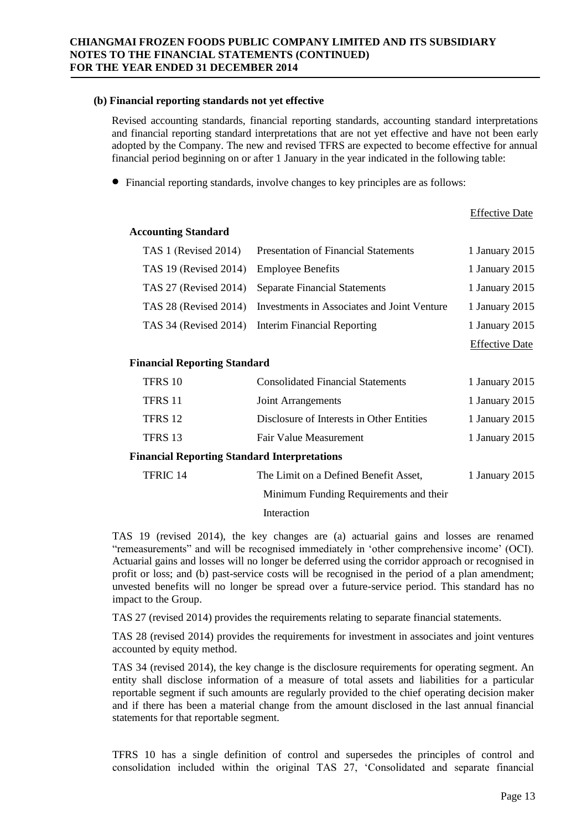### **(b) Financial reporting standards not yet effective**

Revised accounting standards, financial reporting standards, accounting standard interpretations and financial reporting standard interpretations that are not yet effective and have not been early adopted by the Company. The new and revised TFRS are expected to become effective for annual financial period beginning on or after 1 January in the year indicated in the following table:

Financial reporting standards, involve changes to key principles are as follows:

|                                                     |                                             | <b>Effective Date</b> |  |
|-----------------------------------------------------|---------------------------------------------|-----------------------|--|
| <b>Accounting Standard</b>                          |                                             |                       |  |
| TAS 1 (Revised 2014)                                | <b>Presentation of Financial Statements</b> | 1 January 2015        |  |
| TAS 19 (Revised 2014)                               | <b>Employee Benefits</b>                    | 1 January 2015        |  |
| TAS 27 (Revised 2014)                               | <b>Separate Financial Statements</b>        | 1 January 2015        |  |
| <b>TAS 28 (Revised 2014)</b>                        | Investments in Associates and Joint Venture | 1 January 2015        |  |
| TAS 34 (Revised 2014)                               | Interim Financial Reporting                 | 1 January 2015        |  |
|                                                     |                                             | <b>Effective Date</b> |  |
| <b>Financial Reporting Standard</b>                 |                                             |                       |  |
| TFRS 10                                             | <b>Consolidated Financial Statements</b>    | 1 January 2015        |  |
| TFRS 11                                             | Joint Arrangements                          | 1 January 2015        |  |
| TFRS 12                                             | Disclosure of Interests in Other Entities   | 1 January 2015        |  |
| TFRS 13                                             | <b>Fair Value Measurement</b>               | 1 January 2015        |  |
| <b>Financial Reporting Standard Interpretations</b> |                                             |                       |  |
| TFRIC 14                                            | The Limit on a Defined Benefit Asset,       | 1 January 2015        |  |
|                                                     | Minimum Funding Requirements and their      |                       |  |
|                                                     |                                             |                       |  |

Interaction

TAS 19 (revised 2014), the key changes are (a) actuarial gains and losses are renamed "remeasurements" and will be recognised immediately in 'other comprehensive income' (OCI). Actuarial gains and losses will no longer be deferred using the corridor approach or recognised in profit or loss; and (b) past-service costs will be recognised in the period of a plan amendment; unvested benefits will no longer be spread over a future-service period. This standard has no impact to the Group.

TAS 27 (revised 2014) provides the requirements relating to separate financial statements.

TAS 28 (revised 2014) provides the requirements for investment in associates and joint ventures accounted by equity method.

TAS 34 (revised 2014), the key change is the disclosure requirements for operating segment. An entity shall disclose information of a measure of total assets and liabilities for a particular reportable segment if such amounts are regularly provided to the chief operating decision maker and if there has been a material change from the amount disclosed in the last annual financial statements for that reportable segment.

TFRS 10 has a single definition of control and supersedes the principles of control and consolidation included within the original TAS 27, 'Consolidated and separate financial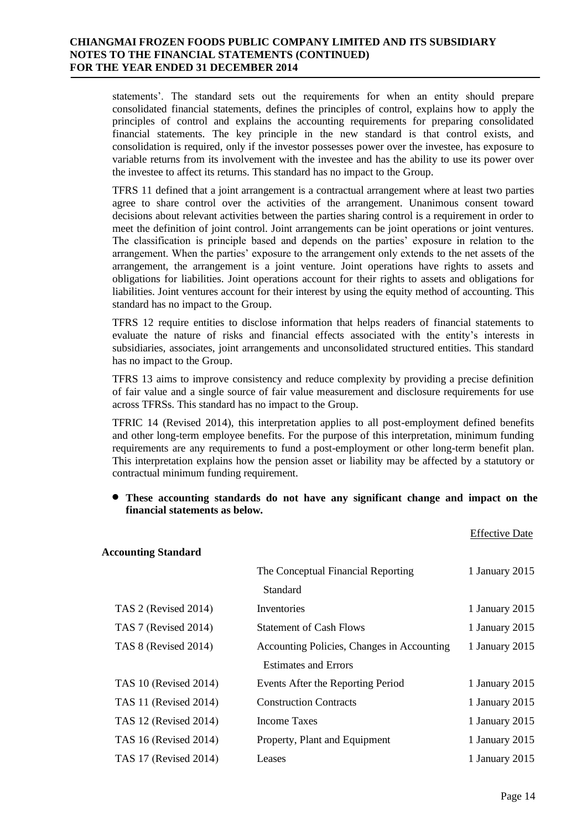statements'. The standard sets out the requirements for when an entity should prepare consolidated financial statements, defines the principles of control, explains how to apply the principles of control and explains the accounting requirements for preparing consolidated financial statements. The key principle in the new standard is that control exists, and consolidation is required, only if the investor possesses power over the investee, has exposure to variable returns from its involvement with the investee and has the ability to use its power over the investee to affect its returns. This standard has no impact to the Group.

TFRS 11 defined that a joint arrangement is a contractual arrangement where at least two parties agree to share control over the activities of the arrangement. Unanimous consent toward decisions about relevant activities between the parties sharing control is a requirement in order to meet the definition of joint control. Joint arrangements can be joint operations or joint ventures. The classification is principle based and depends on the parties' exposure in relation to the arrangement. When the parties' exposure to the arrangement only extends to the net assets of the arrangement, the arrangement is a joint venture. Joint operations have rights to assets and obligations for liabilities. Joint operations account for their rights to assets and obligations for liabilities. Joint ventures account for their interest by using the equity method of accounting. This standard has no impact to the Group.

TFRS 12 require entities to disclose information that helps readers of financial statements to evaluate the nature of risks and financial effects associated with the entity's interests in subsidiaries, associates, joint arrangements and unconsolidated structured entities. This standard has no impact to the Group.

TFRS 13 aims to improve consistency and reduce complexity by providing a precise definition of fair value and a single source of fair value measurement and disclosure requirements for use across TFRSs. This standard has no impact to the Group.

TFRIC 14 (Revised 2014), this interpretation applies to all post-employment defined benefits and other long-term employee benefits. For the purpose of this interpretation, minimum funding requirements are any requirements to fund a post-employment or other long-term benefit plan. This interpretation explains how the pension asset or liability may be affected by a statutory or contractual minimum funding requirement.

#### **These accounting standards do not have any significant change and impact on the financial statements as below.**

| <b>Accounting Standard</b>   |                                            |                |
|------------------------------|--------------------------------------------|----------------|
|                              | The Conceptual Financial Reporting         | 1 January 2015 |
|                              | Standard                                   |                |
| TAS 2 (Revised 2014)         | Inventories                                | 1 January 2015 |
| TAS 7 (Revised 2014)         | <b>Statement of Cash Flows</b>             | 1 January 2015 |
| TAS 8 (Revised 2014)         | Accounting Policies, Changes in Accounting | 1 January 2015 |
|                              | <b>Estimates and Errors</b>                |                |
| <b>TAS 10 (Revised 2014)</b> | Events After the Reporting Period          | 1 January 2015 |
| TAS 11 (Revised 2014)        | <b>Construction Contracts</b>              | 1 January 2015 |
| TAS 12 (Revised 2014)        | Income Taxes                               | 1 January 2015 |
| <b>TAS 16 (Revised 2014)</b> | Property, Plant and Equipment              | 1 January 2015 |
| TAS 17 (Revised 2014)        | Leases                                     | 1 January 2015 |
|                              |                                            |                |

Effective Date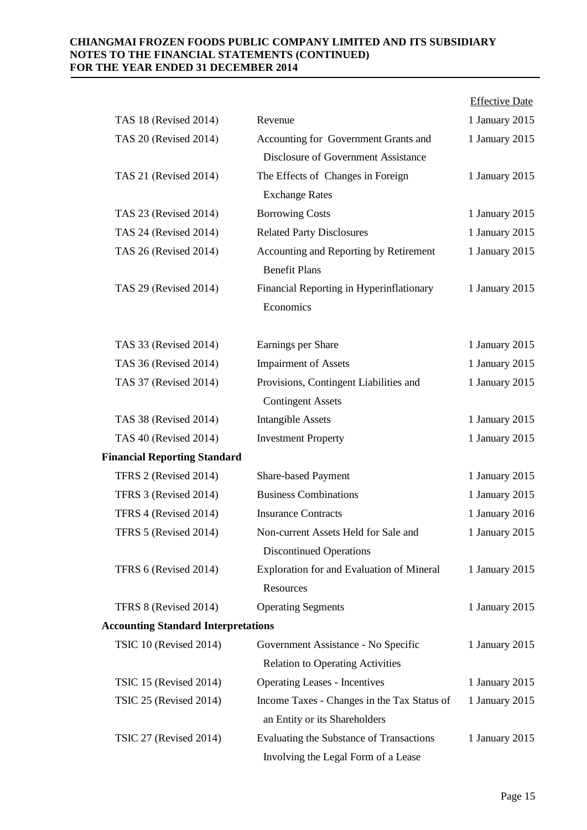|                                            |                                                                                 | <b>Effective Date</b> |
|--------------------------------------------|---------------------------------------------------------------------------------|-----------------------|
| TAS 18 (Revised 2014)                      | Revenue                                                                         | 1 January 2015        |
| TAS 20 (Revised 2014)                      | Accounting for Government Grants and<br>Disclosure of Government Assistance     | 1 January 2015        |
| TAS 21 (Revised 2014)                      | The Effects of Changes in Foreign                                               | 1 January 2015        |
|                                            | <b>Exchange Rates</b>                                                           |                       |
| TAS 23 (Revised 2014)                      | <b>Borrowing Costs</b>                                                          | 1 January 2015        |
| TAS 24 (Revised 2014)                      | <b>Related Party Disclosures</b>                                                | 1 January 2015        |
| TAS 26 (Revised 2014)                      | Accounting and Reporting by Retirement<br><b>Benefit Plans</b>                  | 1 January 2015        |
| TAS 29 (Revised 2014)                      | Financial Reporting in Hyperinflationary                                        | 1 January 2015        |
|                                            | Economics                                                                       |                       |
| TAS 33 (Revised 2014)                      | Earnings per Share                                                              | 1 January 2015        |
| TAS 36 (Revised 2014)                      | <b>Impairment of Assets</b>                                                     | 1 January 2015        |
| TAS 37 (Revised 2014)                      | Provisions, Contingent Liabilities and<br><b>Contingent Assets</b>              | 1 January 2015        |
| TAS 38 (Revised 2014)                      | <b>Intangible Assets</b>                                                        | 1 January 2015        |
| TAS 40 (Revised 2014)                      | <b>Investment Property</b>                                                      | 1 January 2015        |
| <b>Financial Reporting Standard</b>        |                                                                                 |                       |
| TFRS 2 (Revised 2014)                      | Share-based Payment                                                             | 1 January 2015        |
| TFRS 3 (Revised 2014)                      | <b>Business Combinations</b>                                                    | 1 January 2015        |
| TFRS 4 (Revised 2014)                      | <b>Insurance Contracts</b>                                                      | 1 January 2016        |
| TFRS 5 (Revised 2014)                      | Non-current Assets Held for Sale and<br><b>Discontinued Operations</b>          | 1 January 2015        |
| TFRS 6 (Revised 2014)                      | Exploration for and Evaluation of Mineral<br>Resources                          | 1 January 2015        |
| TFRS 8 (Revised 2014)                      | <b>Operating Segments</b>                                                       | 1 January 2015        |
| <b>Accounting Standard Interpretations</b> |                                                                                 |                       |
| TSIC 10 (Revised 2014)                     | Government Assistance - No Specific                                             | 1 January 2015        |
|                                            | <b>Relation to Operating Activities</b>                                         |                       |
| TSIC 15 (Revised 2014)                     | <b>Operating Leases - Incentives</b>                                            | 1 January 2015        |
| TSIC 25 (Revised 2014)                     | Income Taxes - Changes in the Tax Status of<br>an Entity or its Shareholders    | 1 January 2015        |
| TSIC 27 (Revised 2014)                     | Evaluating the Substance of Transactions<br>Involving the Legal Form of a Lease | 1 January 2015        |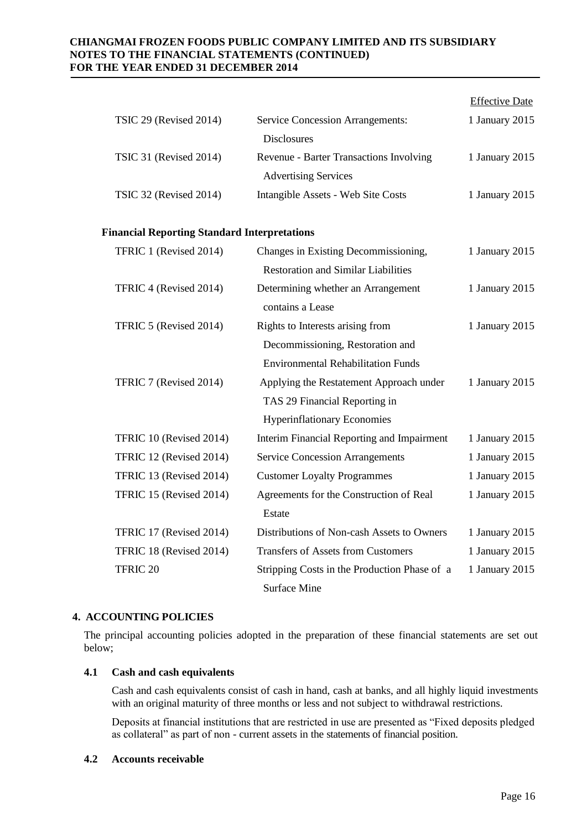|                                                     |                                            | <b>Effective Date</b> |
|-----------------------------------------------------|--------------------------------------------|-----------------------|
| TSIC 29 (Revised 2014)                              | <b>Service Concession Arrangements:</b>    | 1 January 2015        |
|                                                     | <b>Disclosures</b>                         |                       |
| TSIC 31 (Revised 2014)                              | Revenue - Barter Transactions Involving    | 1 January 2015        |
|                                                     | <b>Advertising Services</b>                |                       |
| <b>TSIC 32 (Revised 2014)</b>                       | Intangible Assets - Web Site Costs         | 1 January 2015        |
|                                                     |                                            |                       |
| <b>Financial Reporting Standard Interpretations</b> |                                            |                       |
| TFRIC 1 (Revised 2014)                              | Changes in Existing Decommissioning,       | 1 January 2015        |
|                                                     | <b>Restoration and Similar Liabilities</b> |                       |
| TFRIC 4 (Revised 2014)                              | Determining whether an Arrangement         | 1 January 2015        |
|                                                     | contains a Lease                           |                       |
| TFRIC 5 (Revised 2014)                              | Rights to Interests arising from           | 1 January 2015        |
|                                                     | Decommissioning, Restoration and           |                       |
|                                                     | <b>Environmental Rehabilitation Funds</b>  |                       |
| TFRIC 7 (Revised 2014)                              | Applying the Restatement Approach under    | 1 January 2015        |
|                                                     | TAS 29 Financial Reporting in              |                       |
|                                                     | <b>Hyperinflationary Economies</b>         |                       |
| TFRIC 10 (Revised 2014)                             | Interim Financial Reporting and Impairment | 1 January 2015        |
| TFRIC 12 (Revised 2014)                             | <b>Service Concession Arrangements</b>     | 1 January 2015        |
| TFRIC 13 (Revised 2014)                             | <b>Customer Loyalty Programmes</b>         | 1 January 2015        |
| TFRIC 15 (Revised 2014)                             | Agreements for the Construction of Real    | 1 January 2015        |
|                                                     |                                            |                       |

# Estate TFRIC 17 (Revised 2014) Distributions of Non-cash Assets to Owners 1 January 2015 TFRIC 18 (Revised 2014) Transfers of Assets from Customers 1 January 2015 TFRIC 20 Stripping Costs in the Production Phase of a Surface Mine 1 January 2015

## **4. ACCOUNTING POLICIES**

The principal accounting policies adopted in the preparation of these financial statements are set out below;

#### **4.1 Cash and cash equivalents**

Cash and cash equivalents consist of cash in hand, cash at banks, and all highly liquid investments with an original maturity of three months or less and not subject to withdrawal restrictions.

Deposits at financial institutions that are restricted in use are presented as "Fixed deposits pledged as collateral" as part of non - current assets in the statements of financial position.

#### **4.2 Accounts receivable**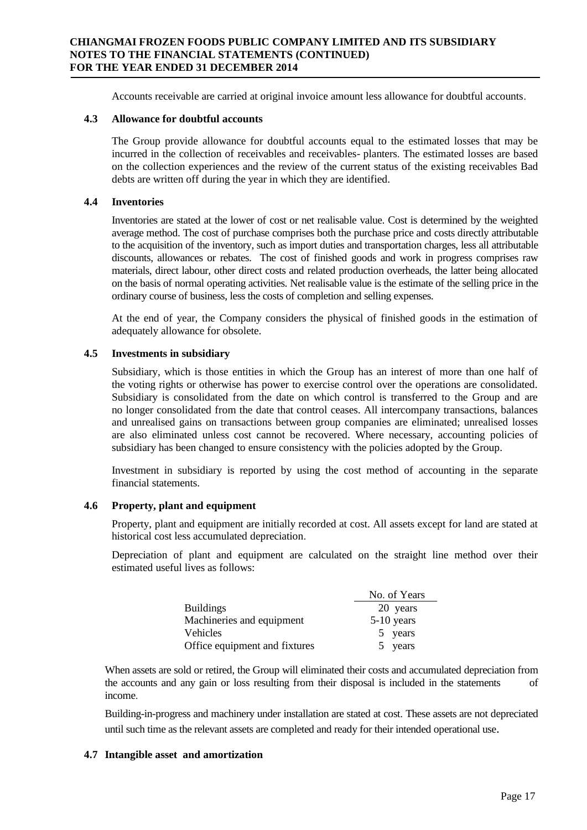Accounts receivable are carried at original invoice amount less allowance for doubtful accounts.

### **4.3 Allowance for doubtful accounts**

The Group provide allowance for doubtful accounts equal to the estimated losses that may be incurred in the collection of receivables and receivables- planters. The estimated losses are based on the collection experiences and the review of the current status of the existing receivables Bad debts are written off during the year in which they are identified.

## **4.4 Inventories**

Inventories are stated at the lower of cost or net realisable value. Cost is determined by the weighted average method. The cost of purchase comprises both the purchase price and costs directly attributable to the acquisition of the inventory, such as import duties and transportation charges, less all attributable discounts, allowances or rebates. The cost of finished goods and work in progress comprises raw materials, direct labour, other direct costs and related production overheads, the latter being allocated on the basis of normal operating activities. Net realisable value is the estimate of the selling price in the ordinary course of business, less the costs of completion and selling expenses.

At the end of year, the Company considers the physical of finished goods in the estimation of adequately allowance for obsolete.

## **4.5 Investments in subsidiary**

Subsidiary, which is those entities in which the Group has an interest of more than one half of the voting rights or otherwise has power to exercise control over the operations are consolidated. Subsidiary is consolidated from the date on which control is transferred to the Group and are no longer consolidated from the date that control ceases. All intercompany transactions, balances and unrealised gains on transactions between group companies are eliminated; unrealised losses are also eliminated unless cost cannot be recovered. Where necessary, accounting policies of subsidiary has been changed to ensure consistency with the policies adopted by the Group.

Investment in subsidiary is reported by using the cost method of accounting in the separate financial statements.

## **4.6 Property, plant and equipment**

Property, plant and equipment are initially recorded at cost. All assets except for land are stated at historical cost less accumulated depreciation.

Depreciation of plant and equipment are calculated on the straight line method over their estimated useful lives as follows:

|                               | No. of Years |
|-------------------------------|--------------|
| <b>Buildings</b>              | 20 years     |
| Machineries and equipment     | $5-10$ years |
| <b>Vehicles</b>               | 5 years      |
| Office equipment and fixtures | 5 years      |

When assets are sold or retired, the Group will eliminated their costs and accumulated depreciation from the accounts and any gain or loss resulting from their disposal is included in the statements of income.

Building-in-progress and machinery under installation are stated at cost. These assets are not depreciated until such time as the relevant assets are completed and ready for their intended operational use.

## **4.7 Intangible asset and amortization**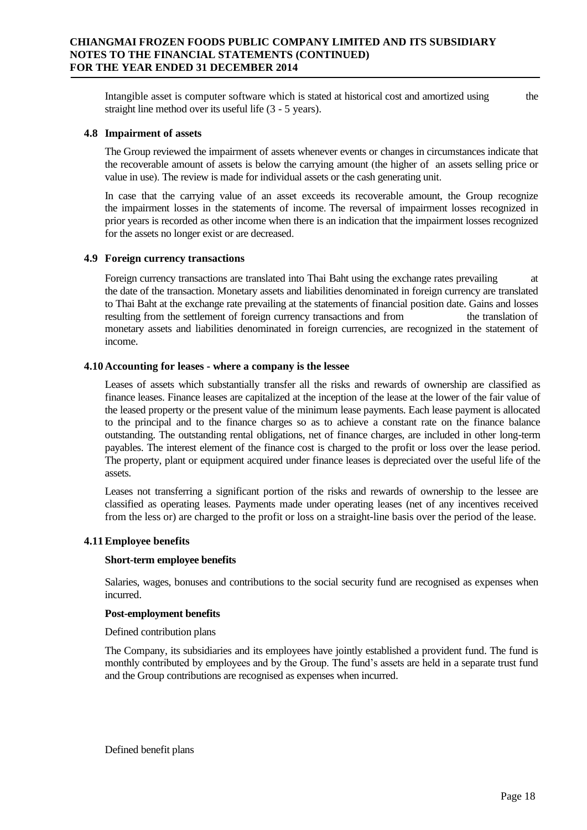Intangible asset is computer software which is stated at historical cost and amortized using the straight line method over its useful life (3 - 5 years).

#### **4.8 Impairment of assets**

The Group reviewed the impairment of assets whenever events or changes in circumstances indicate that the recoverable amount of assets is below the carrying amount (the higher of an assets selling price or value in use). The review is made for individual assets or the cash generating unit.

In case that the carrying value of an asset exceeds its recoverable amount, the Group recognize the impairment losses in the statements of income. The reversal of impairment losses recognized in prior years is recorded as other income when there is an indication that the impairment losses recognized for the assets no longer exist or are decreased.

#### **4.9 Foreign currency transactions**

Foreign currency transactions are translated into Thai Baht using the exchange rates prevailing at the date of the transaction. Monetary assets and liabilities denominated in foreign currency are translated to Thai Baht at the exchange rate prevailing at the statements of financial position date. Gains and losses resulting from the settlement of foreign currency transactions and from the translation of monetary assets and liabilities denominated in foreign currencies, are recognized in the statement of income.

#### **4.10 Accounting for leases - where a company is the lessee**

Leases of assets which substantially transfer all the risks and rewards of ownership are classified as finance leases. Finance leases are capitalized at the inception of the lease at the lower of the fair value of the leased property or the present value of the minimum lease payments. Each lease payment is allocated to the principal and to the finance charges so as to achieve a constant rate on the finance balance outstanding. The outstanding rental obligations, net of finance charges, are included in other long-term payables. The interest element of the finance cost is charged to the profit or loss over the lease period. The property, plant or equipment acquired under finance leases is depreciated over the useful life of the assets.

Leases not transferring a significant portion of the risks and rewards of ownership to the lessee are classified as operating leases. Payments made under operating leases (net of any incentives received from the less or) are charged to the profit or loss on a straight-line basis over the period of the lease.

#### **4.11Employee benefits**

#### **Short-term employee benefits**

Salaries, wages, bonuses and contributions to the social security fund are recognised as expenses when incurred.

#### **Post-employment benefits**

Defined contribution plans

The Company, its subsidiaries and its employees have jointly established a provident fund. The fund is monthly contributed by employees and by the Group. The fund's assets are held in a separate trust fund and the Group contributions are recognised as expenses when incurred.

Defined benefit plans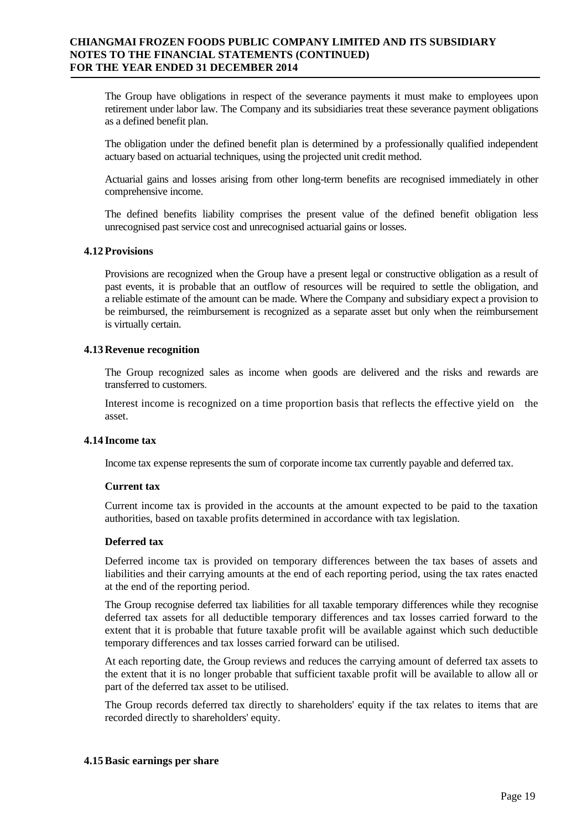The Group have obligations in respect of the severance payments it must make to employees upon retirement under labor law. The Company and its subsidiaries treat these severance payment obligations as a defined benefit plan.

The obligation under the defined benefit plan is determined by a professionally qualified independent actuary based on actuarial techniques, using the projected unit credit method.

Actuarial gains and losses arising from other long-term benefits are recognised immediately in other comprehensive income.

The defined benefits liability comprises the present value of the defined benefit obligation less unrecognised past service cost and unrecognised actuarial gains or losses.

#### **4.12 Provisions**

Provisions are recognized when the Group have a present legal or constructive obligation as a result of past events, it is probable that an outflow of resources will be required to settle the obligation, and a reliable estimate of the amount can be made. Where the Company and subsidiary expect a provision to be reimbursed, the reimbursement is recognized as a separate asset but only when the reimbursement is virtually certain.

#### **4.13 Revenue recognition**

The Group recognized sales as income when goods are delivered and the risks and rewards are transferred to customers.

Interest income is recognized on a time proportion basis that reflects the effective yield on the asset.

#### **4.14 Income tax**

Income tax expense represents the sum of corporate income tax currently payable and deferred tax.

#### **Current tax**

Current income tax is provided in the accounts at the amount expected to be paid to the taxation authorities, based on taxable profits determined in accordance with tax legislation.

#### **Deferred tax**

Deferred income tax is provided on temporary differences between the tax bases of assets and liabilities and their carrying amounts at the end of each reporting period, using the tax rates enacted at the end of the reporting period.

The Group recognise deferred tax liabilities for all taxable temporary differences while they recognise deferred tax assets for all deductible temporary differences and tax losses carried forward to the extent that it is probable that future taxable profit will be available against which such deductible temporary differences and tax losses carried forward can be utilised.

At each reporting date, the Group reviews and reduces the carrying amount of deferred tax assets to the extent that it is no longer probable that sufficient taxable profit will be available to allow all or part of the deferred tax asset to be utilised.

The Group records deferred tax directly to shareholders' equity if the tax relates to items that are recorded directly to shareholders' equity.

#### **4.15Basic earnings per share**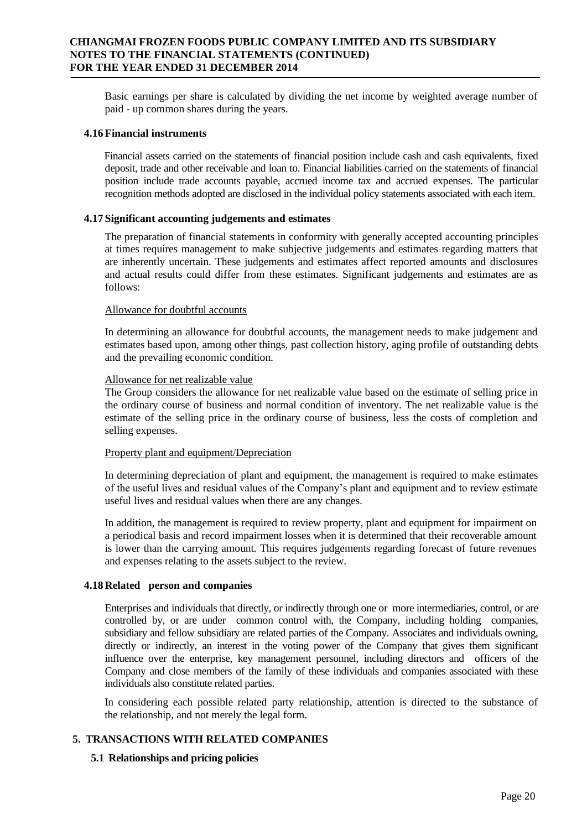Basic earnings per share is calculated by dividing the net income by weighted average number of paid - up common shares during the years.

#### **4.16 Financial instruments**

Financial assets carried on the statements of financial position include cash and cash equivalents, fixed deposit, trade and other receivable and loan to. Financial liabilities carried on the statements of financial position include trade accounts payable, accrued income tax and accrued expenses. The particular recognition methods adopted are disclosed in the individual policy statements associated with each item.

#### **4.17 Significant accounting judgements and estimates**

The preparation of financial statements in conformity with generally accepted accounting principles at times requires management to make subjective judgements and estimates regarding matters that are inherently uncertain. These judgements and estimates affect reported amounts and disclosures and actual results could differ from these estimates. Significant judgements and estimates are as follows:

#### Allowance for doubtful accounts

In determining an allowance for doubtful accounts, the management needs to make judgement and estimates based upon, among other things, past collection history, aging profile of outstanding debts and the prevailing economic condition.

#### Allowance for net realizable value

The Group considers the allowance for net realizable value based on the estimate of selling price in the ordinary course of business and normal condition of inventory. The net realizable value is the estimate of the selling price in the ordinary course of business, less the costs of completion and selling expenses.

#### Property plant and equipment/Depreciation

In determining depreciation of plant and equipment, the management is required to make estimates of the useful lives and residual values of the Company's plant and equipment and to review estimate useful lives and residual values when there are any changes.

In addition, the management is required to review property, plant and equipment for impairment on a periodical basis and record impairment losses when it is determined that their recoverable amount is lower than the carrying amount. This requires judgements regarding forecast of future revenues and expenses relating to the assets subject to the review.

#### **4.18 Related person and companies**

Enterprises and individuals that directly, or indirectly through one or more intermediaries, control, or are controlled by, or are under common control with, the Company, including holding companies, subsidiary and fellow subsidiary are related parties of the Company. Associates and individuals owning, directly or indirectly, an interest in the voting power of the Company that gives them significant influence over the enterprise, key management personnel, including directors and officers of the Company and close members of the family of these individuals and companies associated with these individuals also constitute related parties.

In considering each possible related party relationship, attention is directed to the substance of the relationship, and not merely the legal form.

#### **5. TRANSACTIONS WITH RELATED COMPANIES**

#### **5.1 Relationships and pricing policies**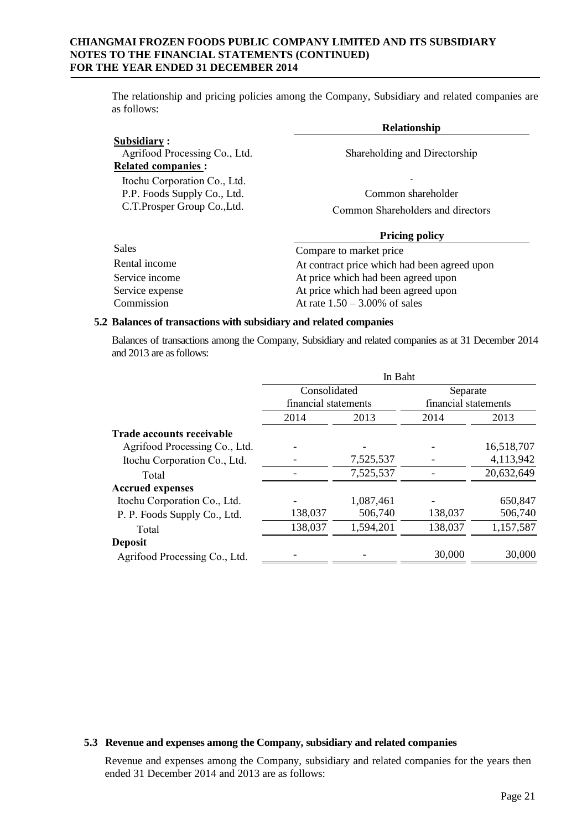The relationship and pricing policies among the Company, Subsidiary and related companies are as follows:

|                                                                                             | <b>Relationship</b>                                     |
|---------------------------------------------------------------------------------------------|---------------------------------------------------------|
| Subsidiary:<br>Agrifood Processing Co., Ltd.<br><b>Related companies:</b>                   | Shareholding and Directorship                           |
| Itochu Corporation Co., Ltd.<br>P.P. Foods Supply Co., Ltd.<br>C.T. Prosper Group Co., Ltd. | Common shareholder<br>Common Shareholders and directors |
|                                                                                             | <b>Pricing policy</b>                                   |
| Sales                                                                                       | Compare to market price                                 |
| Rental income                                                                               | At contract price which had been agreed upon            |

| Rental income   | At contract price which had been agreed upon |
|-----------------|----------------------------------------------|
| Service income  | At price which had been agreed upon          |
| Service expense | At price which had been agreed upon          |
| Commission      | At rate $1.50 - 3.00\%$ of sales             |

#### **5.2 Balances of transactions with subsidiary and related companies**

Balances of transactions among the Company, Subsidiary and related companies as at 31 December 2014 and 2013 are as follows:

|                                  | In Baht                              |           |                                  |            |
|----------------------------------|--------------------------------------|-----------|----------------------------------|------------|
|                                  | Consolidated<br>financial statements |           | Separate<br>financial statements |            |
|                                  |                                      |           |                                  |            |
|                                  | 2014                                 | 2013      | 2014                             | 2013       |
| <b>Trade accounts receivable</b> |                                      |           |                                  |            |
| Agrifood Processing Co., Ltd.    |                                      |           |                                  | 16,518,707 |
| Itochu Corporation Co., Ltd.     |                                      | 7,525,537 |                                  | 4,113,942  |
| Total                            |                                      | 7,525,537 |                                  | 20,632,649 |
| <b>Accrued expenses</b>          |                                      |           |                                  |            |
| Itochu Corporation Co., Ltd.     |                                      | 1,087,461 |                                  | 650,847    |
| P. P. Foods Supply Co., Ltd.     | 138,037                              | 506,740   | 138,037                          | 506,740    |
| Total                            | 138,037                              | 1,594,201 | 138,037                          | 1,157,587  |
| <b>Deposit</b>                   |                                      |           |                                  |            |
| Agrifood Processing Co., Ltd.    |                                      |           | 30,000                           | 30,000     |

#### **5.3 Revenue and expenses among the Company, subsidiary and related companies**

Revenue and expenses among the Company, subsidiary and related companies for the years then ended 31 December 2014 and 2013 are as follows: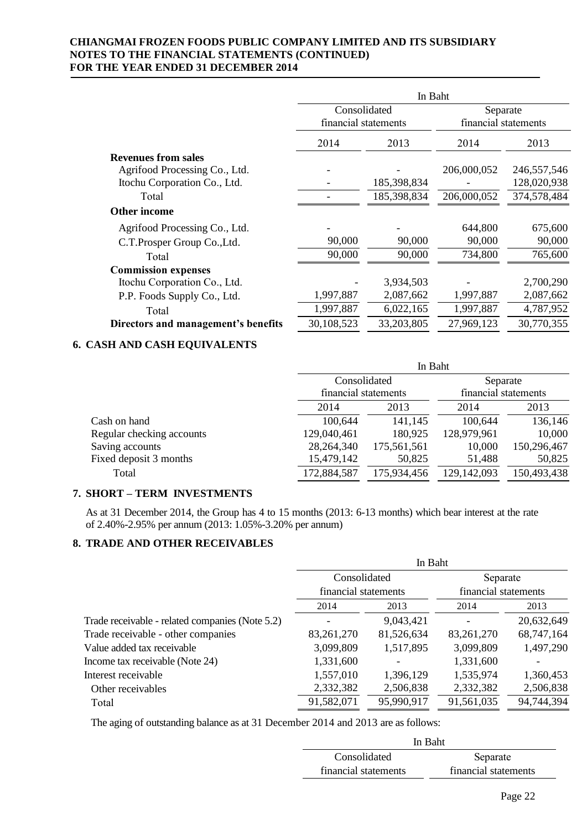|                                     | In Baht              |             |                      |               |
|-------------------------------------|----------------------|-------------|----------------------|---------------|
|                                     | Consolidated         |             | Separate             |               |
|                                     | financial statements |             | financial statements |               |
|                                     | 2014                 | 2013        | 2014                 | 2013          |
| <b>Revenues from sales</b>          |                      |             |                      |               |
| Agrifood Processing Co., Ltd.       |                      |             | 206,000,052          | 246, 557, 546 |
| Itochu Corporation Co., Ltd.        |                      | 185,398,834 |                      | 128,020,938   |
| Total                               |                      | 185,398,834 | 206,000,052          | 374,578,484   |
| <b>Other income</b>                 |                      |             |                      |               |
| Agrifood Processing Co., Ltd.       |                      |             | 644,800              | 675,600       |
| C.T.Prosper Group Co., Ltd.         | 90,000               | 90,000      | 90,000               | 90,000        |
| Total                               | 90,000               | 90,000      | 734,800              | 765,600       |
| <b>Commission expenses</b>          |                      |             |                      |               |
| Itochu Corporation Co., Ltd.        |                      | 3,934,503   |                      | 2,700,290     |
| P.P. Foods Supply Co., Ltd.         | 1,997,887            | 2,087,662   | 1,997,887            | 2,087,662     |
| Total                               | 1,997,887            | 6,022,165   | 1,997,887            | 4,787,952     |
| Directors and management's benefits | 30,108,523           | 33,203,805  | 27,969,123           | 30,770,355    |

## **6. CASH AND CASH EQUIVALENTS**

|                           |             | In Baht                              |             |                                  |  |
|---------------------------|-------------|--------------------------------------|-------------|----------------------------------|--|
|                           |             | Consolidated<br>financial statements |             | Separate<br>financial statements |  |
|                           |             |                                      |             |                                  |  |
|                           | 2014        | 2013                                 | 2014        | 2013                             |  |
| Cash on hand              | 100,644     | 141,145                              | 100,644     | 136,146                          |  |
| Regular checking accounts | 129,040,461 | 180,925                              | 128,979,961 | 10,000                           |  |
| Saving accounts           | 28,264,340  | 175,561,561                          | 10,000      | 150,296,467                      |  |
| Fixed deposit 3 months    | 15,479,142  | 50,825                               | 51,488      | 50,825                           |  |
| Total                     | 172,884,587 | 175,934,456                          | 129,142,093 | 150,493,438                      |  |

## **7. SHORT – TERM INVESTMENTS**

As at 31 December 2014, the Group has 4 to 15 months (2013: 6-13 months) which bear interest at the rate of 2.40%-2.95% per annum (2013: 1.05%-3.20% per annum)

### **8. TRADE AND OTHER RECEIVABLES**

|                                                 | In Baht              |            |                      |            |  |  |
|-------------------------------------------------|----------------------|------------|----------------------|------------|--|--|
|                                                 | Consolidated         |            | Separate             |            |  |  |
|                                                 | financial statements |            | financial statements |            |  |  |
|                                                 | 2014                 | 2013       | 2014                 | 2013       |  |  |
| Trade receivable - related companies (Note 5.2) |                      | 9,043,421  |                      | 20,632,649 |  |  |
| Trade receivable - other companies              | 83, 261, 270         | 81,526,634 | 83,261,270           | 68,747,164 |  |  |
| Value added tax receivable                      | 3,099,809            | 1,517,895  | 3,099,809            | 1,497,290  |  |  |
| Income tax receivable (Note 24)                 | 1,331,600            |            | 1,331,600            |            |  |  |
| Interest receivable                             | 1,557,010            | 1,396,129  | 1,535,974            | 1,360,453  |  |  |
| Other receivables                               | 2,332,382            | 2,506,838  | 2,332,382            | 2,506,838  |  |  |
| Total                                           | 91,582,071           | 95,990,917 | 91,561,035           | 94,744,394 |  |  |

The aging of outstanding balance as at 31 December 2014 and 2013 are as follows:

|                      | In Baht              |
|----------------------|----------------------|
| Consolidated         | Separate             |
| financial statements | financial statements |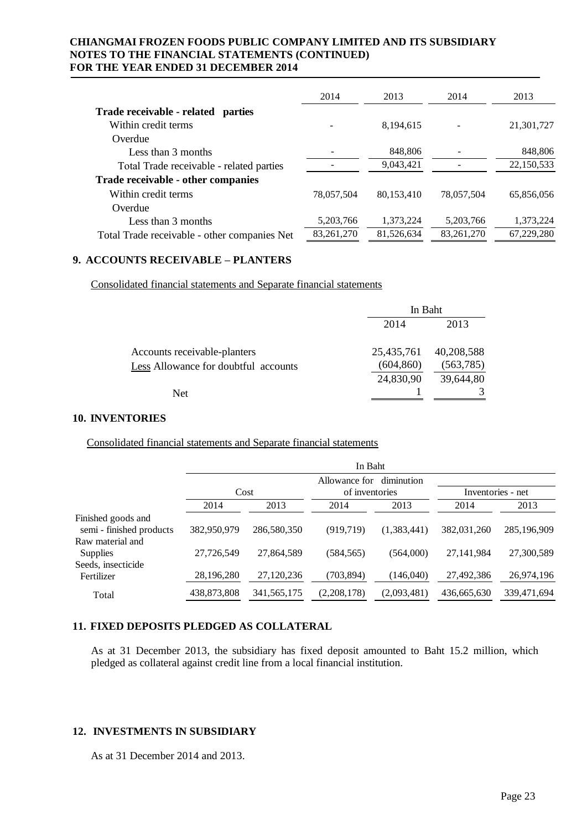|                                              | 2014         | 2013       | 2014         | 2013       |
|----------------------------------------------|--------------|------------|--------------|------------|
| Trade receivable - related<br>parties        |              |            |              |            |
| Within credit terms                          |              | 8,194,615  |              | 21,301,727 |
| Overdue                                      |              |            |              |            |
| Less than 3 months                           |              | 848,806    |              | 848,806    |
| Total Trade receivable - related parties     |              | 9,043,421  |              | 22,150,533 |
| Trade receivable - other companies           |              |            |              |            |
| Within credit terms                          | 78,057,504   | 80.153.410 | 78,057,504   | 65,856,056 |
| Overdue                                      |              |            |              |            |
| Less than 3 months                           | 5,203,766    | 1,373,224  | 5,203,766    | 1,373,224  |
| Total Trade receivable - other companies Net | 83, 261, 270 | 81,526,634 | 83, 261, 270 | 67,229,280 |

#### **9. ACCOUNTS RECEIVABLE – PLANTERS**

Consolidated financial statements and Separate financial statements

|                                      | In Baht    |            |
|--------------------------------------|------------|------------|
|                                      | 2014       | 2013       |
| Accounts receivable-planters         | 25,435,761 | 40,208,588 |
| Less Allowance for doubtful accounts | (604, 860) | (563, 785) |
|                                      | 24,830,90  | 39,644,80  |
| Net                                  |            |            |

#### **10. INVENTORIES**

Consolidated financial statements and Separate financial statements

|                          | In Baht     |               |                                               |             |                   |             |  |
|--------------------------|-------------|---------------|-----------------------------------------------|-------------|-------------------|-------------|--|
|                          | Cost        |               | diminution<br>Allowance for<br>of inventories |             | Inventories - net |             |  |
|                          | 2014        | 2013          | 2014                                          | 2013        | 2014              | 2013        |  |
| Finished goods and       |             |               |                                               |             |                   |             |  |
| semi - finished products | 382,950,979 | 286,580,350   | (919, 719)                                    | (1,383,441) | 382,031,260       | 285,196,909 |  |
| Raw material and         |             |               |                                               |             |                   |             |  |
| Supplies                 | 27,726,549  | 27,864,589    | (584, 565)                                    | (564,000)   | 27,141,984        | 27,300,589  |  |
| Seeds, insecticide       |             |               |                                               |             |                   |             |  |
| Fertilizer               | 28,196,280  | 27,120,236    | (703, 894)                                    | (146,040)   | 27,492,386        | 26,974,196  |  |
| Total                    | 438,873,808 | 341, 565, 175 | (2,208,178)                                   | (2,093,481) | 436,665,630       | 339,471,694 |  |

## **11. FIXED DEPOSITS PLEDGED AS COLLATERAL**

As at 31 December 2013, the subsidiary has fixed deposit amounted to Baht 15.2 million, which pledged as collateral against credit line from a local financial institution.

## **12. INVESTMENTS IN SUBSIDIARY**

As at 31 December 2014 and 2013.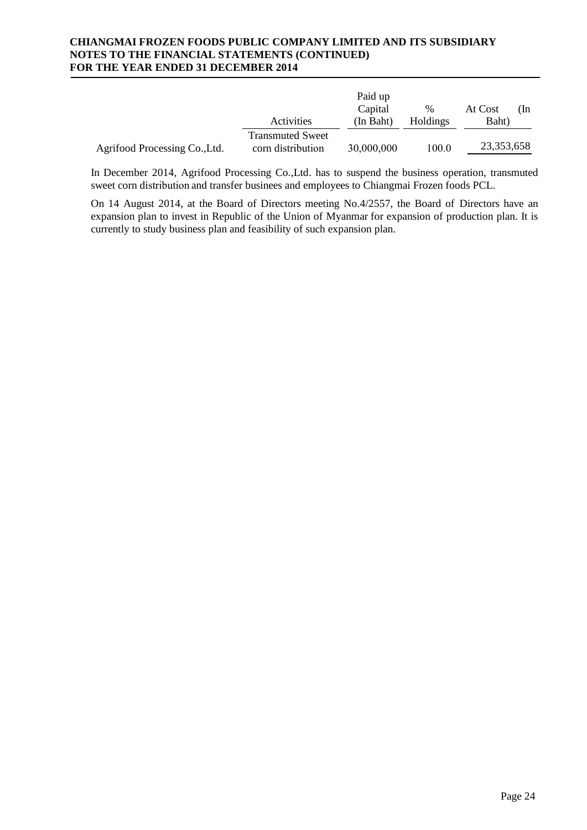|                               | Activities                                   | Paid up<br>Capital<br>(In Baht) | $\%$<br>Holdings | At Cost<br>Baht) | (In |
|-------------------------------|----------------------------------------------|---------------------------------|------------------|------------------|-----|
| Agrifood Processing Co., Ltd. | <b>Transmuted Sweet</b><br>corn distribution | 30,000,000                      | 100.0            | 23,353,658       |     |

In December 2014, Agrifood Processing Co.,Ltd. has to suspend the business operation, transmuted sweet corn distribution and transfer businees and employees to Chiangmai Frozen foods PCL.

On 14 August 2014, at the Board of Directors meeting No.4/2557, the Board of Directors have an expansion plan to invest in Republic of the Union of Myanmar for expansion of production plan. It is currently to study business plan and feasibility of such expansion plan.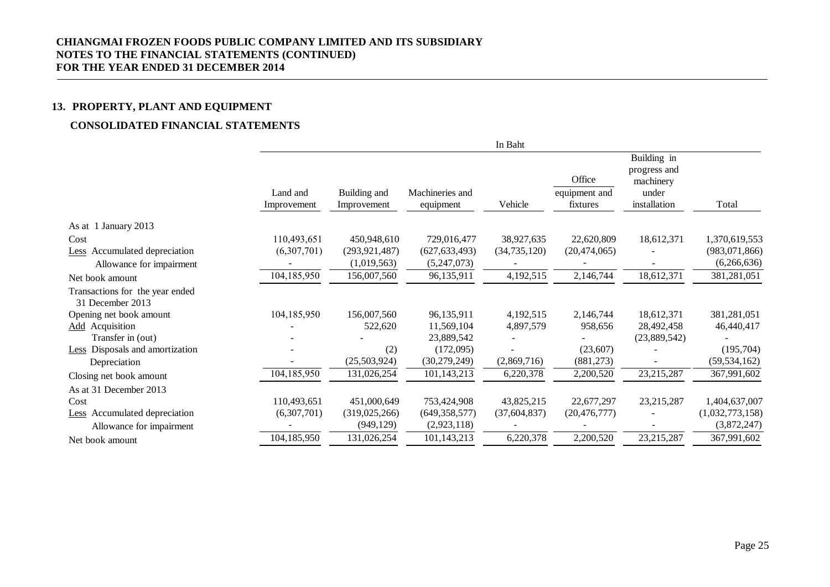## **13. PROPERTY, PLANT AND EQUIPMENT**

## **CONSOLIDATED FINANCIAL STATEMENTS**

|                                                     |                         |                             |                              | In Baht        |                                     |                                                                   |                 |
|-----------------------------------------------------|-------------------------|-----------------------------|------------------------------|----------------|-------------------------------------|-------------------------------------------------------------------|-----------------|
|                                                     | Land and<br>Improvement | Building and<br>Improvement | Machineries and<br>equipment | Vehicle        | Office<br>equipment and<br>fixtures | Building in<br>progress and<br>machinery<br>under<br>installation | Total           |
| As at 1 January 2013                                |                         |                             |                              |                |                                     |                                                                   |                 |
| Cost                                                | 110,493,651             | 450,948,610                 | 729,016,477                  | 38,927,635     | 22,620,809                          | 18,612,371                                                        | 1,370,619,553   |
| Less Accumulated depreciation                       | (6,307,701)             | (293, 921, 487)             | (627, 633, 493)              | (34, 735, 120) | (20, 474, 065)                      |                                                                   | (983,071,866)   |
| Allowance for impairment                            |                         | (1,019,563)                 | (5,247,073)                  |                |                                     |                                                                   | (6,266,636)     |
| Net book amount                                     | 104,185,950             | 156,007,560                 | 96,135,911                   | 4,192,515      | 2,146,744                           | 18,612,371                                                        | 381,281,051     |
| Transactions for the year ended<br>31 December 2013 |                         |                             |                              |                |                                     |                                                                   |                 |
| Opening net book amount                             | 104,185,950             | 156,007,560                 | 96,135,911                   | 4,192,515      | 2,146,744                           | 18,612,371                                                        | 381,281,051     |
| <b>Add</b> Acquisition                              |                         | 522,620                     | 11,569,104                   | 4,897,579      | 958,656                             | 28,492,458                                                        | 46,440,417      |
| Transfer in (out)                                   |                         |                             | 23,889,542                   |                |                                     | (23,889,542)                                                      |                 |
| Less Disposals and amortization                     |                         | (2)                         | (172,095)                    |                | (23, 607)                           |                                                                   | (195,704)       |
| Depreciation                                        |                         | (25,503,924)                | (30, 279, 249)               | (2,869,716)    | (881,273)                           |                                                                   | (59, 534, 162)  |
| Closing net book amount                             | 104,185,950             | 131,026,254                 | 101,143,213                  | 6,220,378      | 2,200,520                           | 23, 215, 287                                                      | 367,991,602     |
| As at 31 December 2013                              |                         |                             |                              |                |                                     |                                                                   |                 |
| Cost                                                | 110,493,651             | 451,000,649                 | 753,424,908                  | 43,825,215     | 22,677,297                          | 23,215,287                                                        | 1,404,637,007   |
| Less Accumulated depreciation                       | (6,307,701)             | (319, 025, 266)             | (649, 358, 577)              | (37, 604, 837) | (20, 476, 777)                      |                                                                   | (1,032,773,158) |
| Allowance for impairment                            |                         | (949, 129)                  | (2,923,118)                  |                |                                     |                                                                   | (3,872,247)     |
| Net book amount                                     | 104,185,950             | 131,026,254                 | 101,143,213                  | 6,220,378      | 2,200,520                           | 23, 215, 287                                                      | 367,991,602     |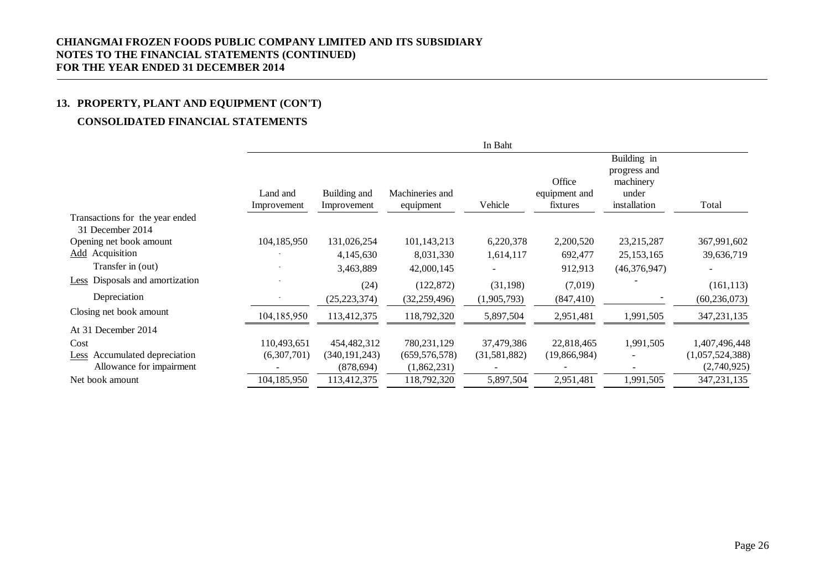## **13. PROPERTY, PLANT AND EQUIPMENT (CON'T)**

## **CONSOLIDATED FINANCIAL STATEMENTS**

|                                                     |                         |                             |                              | In Baht      |                                     |                                                                   |                 |
|-----------------------------------------------------|-------------------------|-----------------------------|------------------------------|--------------|-------------------------------------|-------------------------------------------------------------------|-----------------|
|                                                     | Land and<br>Improvement | Building and<br>Improvement | Machineries and<br>equipment | Vehicle      | Office<br>equipment and<br>fixtures | Building in<br>progress and<br>machinery<br>under<br>installation | Total           |
| Transactions for the year ended<br>31 December 2014 |                         |                             |                              |              |                                     |                                                                   |                 |
| Opening net book amount                             | 104,185,950             | 131,026,254                 | 101,143,213                  | 6,220,378    | 2,200,520                           | 23, 215, 287                                                      | 367,991,602     |
| <b>Add</b> Acquisition                              |                         | 4,145,630                   | 8,031,330                    | 1,614,117    | 692,477                             | 25, 153, 165                                                      | 39,636,719      |
| Transfer in (out)                                   |                         | 3,463,889                   | 42,000,145                   |              | 912,913                             | (46,376,947)                                                      |                 |
| <b>Less</b> Disposals and amortization              |                         | (24)                        | (122, 872)                   | (31, 198)    | (7,019)                             |                                                                   | (161, 113)      |
| Depreciation                                        |                         | (25, 223, 374)              | (32, 259, 496)               | (1,905,793)  | (847, 410)                          |                                                                   | (60, 236, 073)  |
| Closing net book amount                             | 104,185,950             | 113,412,375                 | 118,792,320                  | 5,897,504    | 2,951,481                           | 1,991,505                                                         | 347, 231, 135   |
| At 31 December 2014                                 |                         |                             |                              |              |                                     |                                                                   |                 |
| Cost                                                | 110,493,651             | 454,482,312                 | 780, 231, 129                | 37,479,386   | 22,818,465                          | 1,991,505                                                         | 1,407,496,448   |
| Accumulated depreciation<br>Less                    | (6,307,701)             | (340, 191, 243)             | (659, 576, 578)              | (31,581,882) | (19,866,984)                        |                                                                   | (1,057,524,388) |
| Allowance for impairment                            |                         | (878, 694)                  | (1,862,231)                  |              |                                     |                                                                   | (2,740,925)     |
| Net book amount                                     | 104,185,950             | 113,412,375                 | 118,792,320                  | 5,897,504    | 2,951,481                           | 1,991,505                                                         | 347, 231, 135   |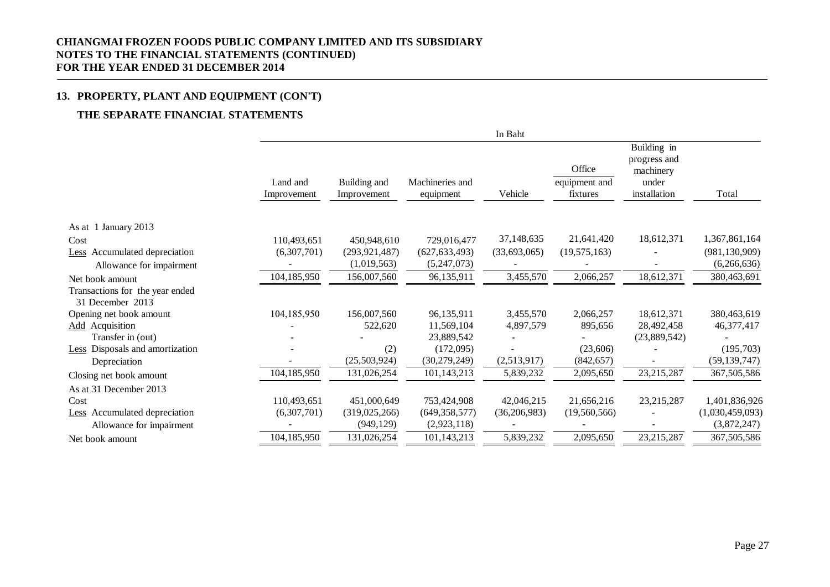## **13. PROPERTY, PLANT AND EQUIPMENT (CON'T)**

## **THE SEPARATE FINANCIAL STATEMENTS**

|                                                     |                         |                             |                              | In Baht        |                                     |                                                                   |                 |
|-----------------------------------------------------|-------------------------|-----------------------------|------------------------------|----------------|-------------------------------------|-------------------------------------------------------------------|-----------------|
|                                                     | Land and<br>Improvement | Building and<br>Improvement | Machineries and<br>equipment | Vehicle        | Office<br>equipment and<br>fixtures | Building in<br>progress and<br>machinery<br>under<br>installation | Total           |
| As at 1 January 2013                                |                         |                             |                              |                |                                     |                                                                   |                 |
| Cost                                                | 110,493,651             | 450,948,610                 | 729,016,477                  | 37,148,635     | 21,641,420                          | 18,612,371                                                        | 1,367,861,164   |
| Less Accumulated depreciation                       | (6,307,701)             | (293, 921, 487)             | (627, 633, 493)              | (33,693,065)   | (19, 575, 163)                      |                                                                   | (981, 130, 909) |
| Allowance for impairment                            |                         | (1,019,563)                 | (5,247,073)                  |                |                                     |                                                                   | (6,266,636)     |
| Net book amount                                     | 104,185,950             | 156,007,560                 | 96,135,911                   | 3,455,570      | 2,066,257                           | 18,612,371                                                        | 380,463,691     |
| Transactions for the year ended<br>31 December 2013 |                         |                             |                              |                |                                     |                                                                   |                 |
| Opening net book amount                             | 104,185,950             | 156,007,560                 | 96,135,911                   | 3,455,570      | 2,066,257                           | 18,612,371                                                        | 380,463,619     |
| <b>Add</b> Acquisition                              |                         | 522,620                     | 11,569,104                   | 4,897,579      | 895,656                             | 28,492,458                                                        | 46,377,417      |
| Transfer in (out)                                   |                         |                             | 23,889,542                   |                |                                     | (23,889,542)                                                      |                 |
| <b>Less</b> Disposals and amortization              |                         | (2)                         | (172,095)                    |                | (23,606)                            |                                                                   | (195,703)       |
| Depreciation                                        |                         | (25,503,924)                | (30, 279, 249)               | (2,513,917)    | (842, 657)                          |                                                                   | (59, 139, 747)  |
| Closing net book amount                             | 104,185,950             | 131,026,254                 | 101,143,213                  | 5,839,232      | 2,095,650                           | 23,215,287                                                        | 367,505,586     |
| As at 31 December 2013                              |                         |                             |                              |                |                                     |                                                                   |                 |
| Cost                                                | 110,493,651             | 451,000,649                 | 753,424,908                  | 42,046,215     | 21,656,216                          | 23, 215, 287                                                      | 1,401,836,926   |
| Less Accumulated depreciation                       | (6,307,701)             | (319,025,266)               | (649, 358, 577)              | (36, 206, 983) | (19,560,566)                        |                                                                   | (1,030,459,093) |
| Allowance for impairment                            |                         | (949, 129)                  | (2,923,118)                  |                |                                     |                                                                   | (3,872,247)     |
| Net book amount                                     | 104,185,950             | 131,026,254                 | 101,143,213                  | 5,839,232      | 2,095,650                           | 23,215,287                                                        | 367,505,586     |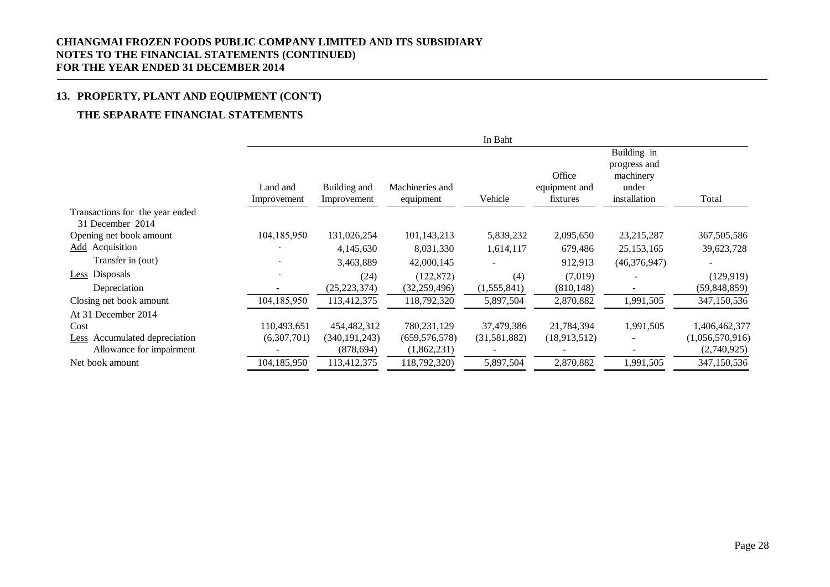## **13. PROPERTY, PLANT AND EQUIPMENT (CON'T)**

## **THE SEPARATE FINANCIAL STATEMENTS**

|                                                     |                         |                             |                              | In Baht      |                                     |                                                                   |                 |
|-----------------------------------------------------|-------------------------|-----------------------------|------------------------------|--------------|-------------------------------------|-------------------------------------------------------------------|-----------------|
|                                                     | Land and<br>Improvement | Building and<br>Improvement | Machineries and<br>equipment | Vehicle      | Office<br>equipment and<br>fixtures | Building in<br>progress and<br>machinery<br>under<br>installation | Total           |
| Transactions for the year ended<br>31 December 2014 |                         |                             |                              |              |                                     |                                                                   |                 |
| Opening net book amount                             | 104,185,950             | 131,026,254                 | 101,143,213                  | 5,839,232    | 2,095,650                           | 23,215,287                                                        | 367,505,586     |
| <b>Add</b> Acquisition                              |                         | 4,145,630                   | 8,031,330                    | 1,614,117    | 679,486                             | 25, 153, 165                                                      | 39,623,728      |
| Transfer in (out)                                   |                         | 3,463,889                   | 42,000,145                   |              | 912,913                             | (46,376,947)                                                      |                 |
| Less Disposals                                      |                         | (24)                        | (122, 872)                   | (4)          | (7,019)                             |                                                                   | (129, 919)      |
| Depreciation                                        |                         | (25, 223, 374)              | (32, 259, 496)               | (1,555,841)  | (810, 148)                          |                                                                   | (59, 848, 859)  |
| Closing net book amount                             | 104,185,950             | 113,412,375                 | 118,792,320                  | 5,897,504    | 2,870,882                           | 1,991,505                                                         | 347,150,536     |
| At 31 December 2014                                 |                         |                             |                              |              |                                     |                                                                   |                 |
| Cost                                                | 110,493,651             | 454,482,312                 | 780, 231, 129                | 37,479,386   | 21,784,394                          | 1,991,505                                                         | 1,406,462,377   |
| Accumulated depreciation<br>Less                    | (6,307,701)             | (340, 191, 243)             | (659, 576, 578)              | (31,581,882) | (18,913,512)                        |                                                                   | (1,056,570,916) |
| Allowance for impairment                            |                         | (878, 694)                  | (1,862,231)                  |              |                                     |                                                                   | (2,740,925)     |
| Net book amount                                     | 104,185,950             | 113,412,375                 | 118,792,320)                 | 5,897,504    | 2,870,882                           | 1,991,505                                                         | 347,150,536     |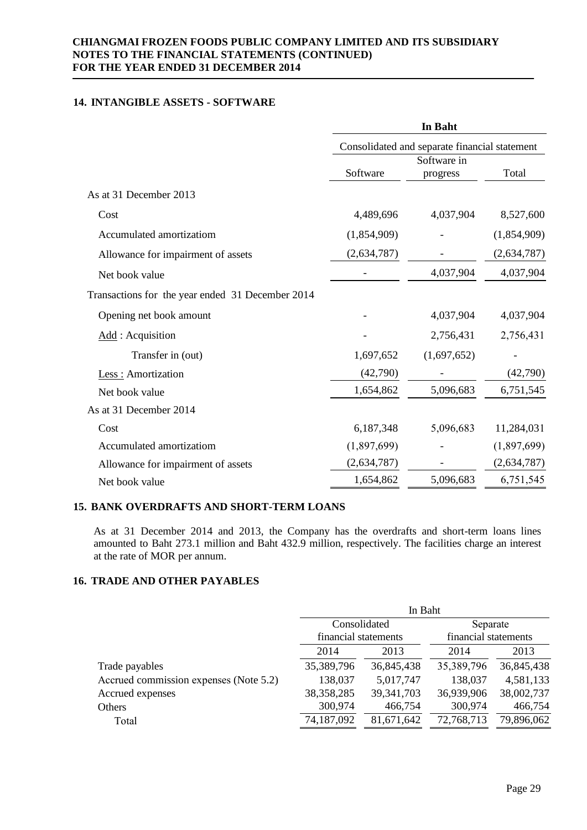## **14. INTANGIBLE ASSETS - SOFTWARE**

|                                                  |             | In Baht                                       |             |
|--------------------------------------------------|-------------|-----------------------------------------------|-------------|
|                                                  |             | Consolidated and separate financial statement |             |
|                                                  |             | Software in                                   |             |
|                                                  | Software    | progress                                      | Total       |
| As at 31 December 2013                           |             |                                               |             |
| Cost                                             | 4,489,696   | 4,037,904                                     | 8,527,600   |
| Accumulated amortizatiom                         | (1,854,909) |                                               | (1,854,909) |
| Allowance for impairment of assets               | (2,634,787) |                                               | (2,634,787) |
| Net book value                                   |             | 4,037,904                                     | 4,037,904   |
| Transactions for the year ended 31 December 2014 |             |                                               |             |
| Opening net book amount                          |             | 4,037,904                                     | 4,037,904   |
| Add: Acquisition                                 |             | 2,756,431                                     | 2,756,431   |
| Transfer in (out)                                | 1,697,652   | (1,697,652)                                   |             |
| Less : Amortization                              | (42,790)    |                                               | (42,790)    |
| Net book value                                   | 1,654,862   | 5,096,683                                     | 6,751,545   |
| As at 31 December 2014                           |             |                                               |             |
| Cost                                             | 6,187,348   | 5,096,683                                     | 11,284,031  |
| Accumulated amortizatiom                         | (1,897,699) |                                               | (1,897,699) |
| Allowance for impairment of assets               | (2,634,787) |                                               | (2,634,787) |
| Net book value                                   | 1,654,862   | 5,096,683                                     | 6,751,545   |

### **15. BANK OVERDRAFTS AND SHORT-TERM LOANS**

As at 31 December 2014 and 2013, the Company has the overdrafts and short-term loans lines amounted to Baht 273.1 million and Baht 432.9 million, respectively. The facilities charge an interest at the rate of MOR per annum.

## **16. TRADE AND OTHER PAYABLES**

|                                        | In Baht              |              |                      |            |  |  |  |
|----------------------------------------|----------------------|--------------|----------------------|------------|--|--|--|
|                                        | Consolidated         |              | Separate             |            |  |  |  |
|                                        | financial statements |              | financial statements |            |  |  |  |
|                                        | 2014                 | 2013         | 2014                 | 2013       |  |  |  |
| Trade payables                         | 35,389,796           | 36,845,438   | 35,389,796           | 36,845,438 |  |  |  |
| Accrued commission expenses (Note 5.2) | 138,037              | 5,017,747    | 138,037              | 4,581,133  |  |  |  |
| Accrued expenses                       | 38, 358, 285         | 39, 341, 703 | 36,939,906           | 38,002,737 |  |  |  |
| Others                                 | 300,974              | 466,754      | 300,974              | 466,754    |  |  |  |
| Total                                  | 74,187,092           | 81,671,642   | 72,768,713           | 79,896,062 |  |  |  |
|                                        |                      |              |                      |            |  |  |  |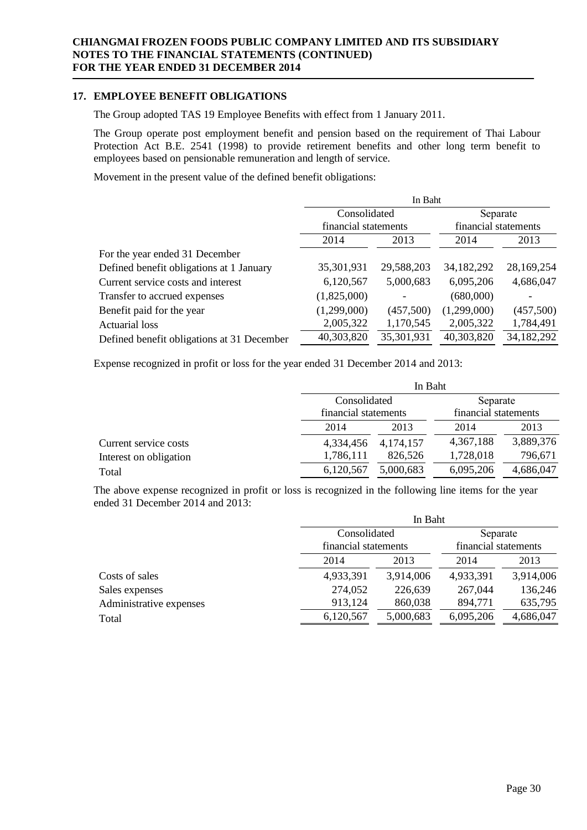## **17. EMPLOYEE BENEFIT OBLIGATIONS**

The Group adopted TAS 19 Employee Benefits with effect from 1 January 2011.

The Group operate post employment benefit and pension based on the requirement of Thai Labour Protection Act B.E. 2541 (1998) to provide retirement benefits and other long term benefit to employees based on pensionable remuneration and length of service.

Movement in the present value of the defined benefit obligations:

|                                            | In Baht              |            |                      |            |  |  |
|--------------------------------------------|----------------------|------------|----------------------|------------|--|--|
|                                            | Consolidated         |            | Separate             |            |  |  |
|                                            | financial statements |            | financial statements |            |  |  |
|                                            | 2014                 | 2013       | 2014                 | 2013       |  |  |
| For the year ended 31 December             |                      |            |                      |            |  |  |
| Defined benefit obligations at 1 January   | 35,301,931           | 29,588,203 | 34, 182, 292         | 28,169,254 |  |  |
| Current service costs and interest         | 6,120,567            | 5,000,683  | 6,095,206            | 4,686,047  |  |  |
| Transfer to accrued expenses               | (1,825,000)          |            | (680,000)            |            |  |  |
| Benefit paid for the year                  | (1,299,000)          | (457,500)  | (1,299,000)          | (457,500)  |  |  |
| <b>Actuarial loss</b>                      | 2,005,322            | 1,170,545  | 2,005,322            | 1,784,491  |  |  |
| Defined benefit obligations at 31 December | 40,303,820           | 35,301,931 | 40,303,820           | 34,182,292 |  |  |

Expense recognized in profit or loss for the year ended 31 December 2014 and 2013:

|                        |                      | In Baht   |                      |           |  |  |  |
|------------------------|----------------------|-----------|----------------------|-----------|--|--|--|
|                        | Consolidated         |           | Separate             |           |  |  |  |
|                        | financial statements |           | financial statements |           |  |  |  |
|                        | 2014                 | 2013      | 2014                 | 2013      |  |  |  |
| Current service costs  | 4,334,456            | 4,174,157 | 4,367,188            | 3,889,376 |  |  |  |
| Interest on obligation | 1,786,111            | 826,526   | 1,728,018            | 796,671   |  |  |  |
| Total                  | 6,120,567            | 5,000,683 | 6,095,206            | 4,686,047 |  |  |  |

The above expense recognized in profit or loss is recognized in the following line items for the year ended 31 December 2014 and 2013:

|                         |                      | In Baht   |                      |           |  |  |  |
|-------------------------|----------------------|-----------|----------------------|-----------|--|--|--|
|                         | Consolidated         |           | Separate             |           |  |  |  |
|                         | financial statements |           | financial statements |           |  |  |  |
|                         | 2014                 | 2013      | 2014                 | 2013      |  |  |  |
| Costs of sales          | 4,933,391            | 3,914,006 | 4,933,391            | 3,914,006 |  |  |  |
| Sales expenses          | 274,052              | 226,639   | 267,044              | 136,246   |  |  |  |
| Administrative expenses | 913,124              | 860,038   | 894,771              | 635,795   |  |  |  |
| Total                   | 6,120,567            | 5,000,683 | 6,095,206            | 4,686,047 |  |  |  |
|                         |                      |           |                      |           |  |  |  |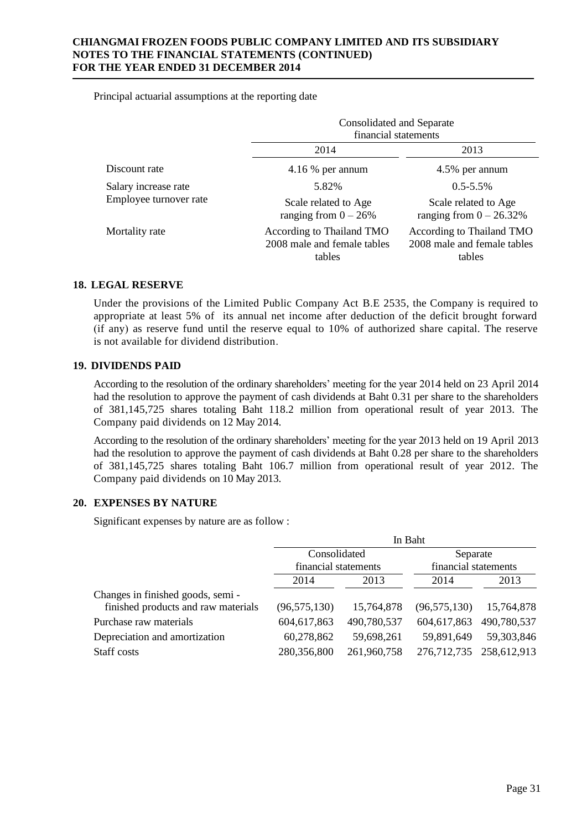Principal actuarial assumptions at the reporting date

|                        | Consolidated and Separate<br>financial statements                  |                                                                    |  |
|------------------------|--------------------------------------------------------------------|--------------------------------------------------------------------|--|
|                        | 2014                                                               | 2013                                                               |  |
| Discount rate          | $4.16\%$ per annum                                                 | 4.5% per annum                                                     |  |
| Salary increase rate   | 5.82%                                                              | $0.5 - 5.5\%$                                                      |  |
| Employee turnover rate | Scale related to Age<br>ranging from $0 - 26\%$                    | Scale related to Age<br>ranging from $0 - 26.32\%$                 |  |
| Mortality rate         | According to Thailand TMO<br>2008 male and female tables<br>tables | According to Thailand TMO<br>2008 male and female tables<br>tables |  |

## **18. LEGAL RESERVE**

Under the provisions of the Limited Public Company Act B.E 2535, the Company is required to appropriate at least 5% of its annual net income after deduction of the deficit brought forward (if any) as reserve fund until the reserve equal to 10% of authorized share capital. The reserve is not available for dividend distribution.

## **19. DIVIDENDS PAID**

According to the resolution of the ordinary shareholders' meeting for the year 2014 held on 23 April 2014 had the resolution to approve the payment of cash dividends at Baht 0.31 per share to the shareholders of 381,145,725 shares totaling Baht 118.2 million from operational result of year 2013. The Company paid dividends on 12 May 2014.

According to the resolution of the ordinary shareholders' meeting for the year 2013 held on 19 April 2013 had the resolution to approve the payment of cash dividends at Baht 0.28 per share to the shareholders of 381,145,725 shares totaling Baht 106.7 million from operational result of year 2012. The Company paid dividends on 10 May 2013.

## **20. EXPENSES BY NATURE**

Significant expenses by nature are as follow :

|                                     |                                      |             | In Baht                          |                         |  |
|-------------------------------------|--------------------------------------|-------------|----------------------------------|-------------------------|--|
|                                     | Consolidated<br>financial statements |             | Separate<br>financial statements |                         |  |
|                                     |                                      |             |                                  |                         |  |
|                                     | 2014                                 | 2013        | 2014                             | 2013                    |  |
| Changes in finished goods, semi-    |                                      |             |                                  |                         |  |
| finished products and raw materials | (96, 575, 130)                       | 15,764,878  | (96, 575, 130)                   | 15,764,878              |  |
| Purchase raw materials              | 604,617,863                          | 490,780,537 | 604,617,863                      | 490,780,537             |  |
| Depreciation and amortization       | 60,278,862                           | 59,698,261  | 59,891,649                       | 59,303,846              |  |
| Staff costs                         | 280,356,800                          | 261,960,758 |                                  | 276,712,735 258,612,913 |  |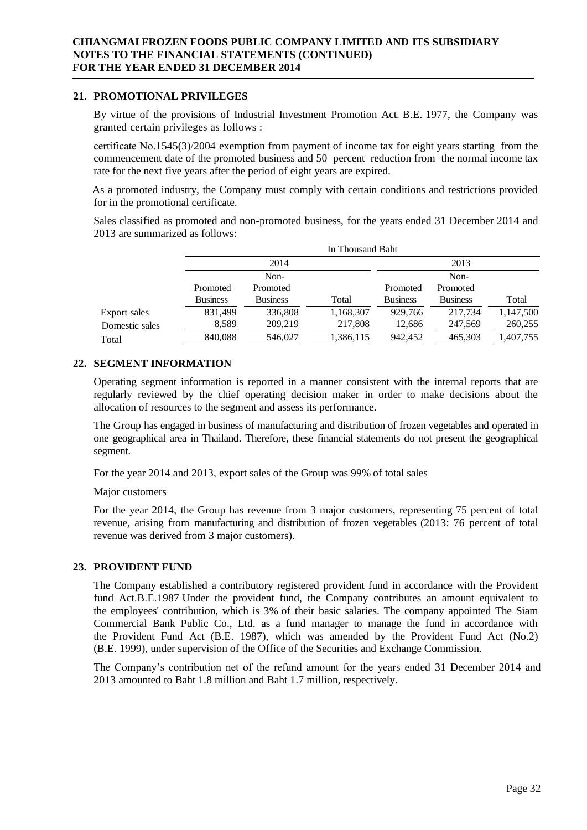## **21. PROMOTIONAL PRIVILEGES**

By virtue of the provisions of Industrial Investment Promotion Act. B.E. 1977, the Company was granted certain privileges as follows :

certificate No.1545(3)/2004 exemption from payment of income tax for eight years starting from the commencement date of the promoted business and 50 percent reduction from the normal income tax rate for the next five years after the period of eight years are expired.

As a promoted industry, the Company must comply with certain conditions and restrictions provided for in the promotional certificate.

Sales classified as promoted and non-promoted business, for the years ended 31 December 2014 and 2013 are summarized as follows:

|                | In Thousand Baht |                 |           |                 |                 |           |
|----------------|------------------|-----------------|-----------|-----------------|-----------------|-----------|
|                |                  | 2014            |           |                 | 2013            |           |
|                |                  | Non-            |           |                 | Non-            |           |
|                | Promoted         | Promoted        |           | Promoted        | Promoted        |           |
|                | <b>Business</b>  | <b>Business</b> | Total     | <b>Business</b> | <b>Business</b> | Total     |
| Export sales   | 831,499          | 336,808         | 1,168,307 | 929,766         | 217,734         | 1,147,500 |
| Domestic sales | 8,589            | 209,219         | 217,808   | 12,686          | 247,569         | 260,255   |
| Total          | 840,088          | 546,027         | 1,386,115 | 942,452         | 465,303         | 1,407,755 |

## **22. SEGMENT INFORMATION**

Operating segment information is reported in a manner consistent with the internal reports that are regularly reviewed by the chief operating decision maker in order to make decisions about the allocation of resources to the segment and assess its performance.

The Group has engaged in business of manufacturing and distribution of frozen vegetables and operated in one geographical area in Thailand. Therefore, these financial statements do not present the geographical segment.

For the year 2014 and 2013, export sales of the Group was 99% of total sales

Major customers

For the year 2014, the Group has revenue from 3 major customers, representing 75 percent of total revenue, arising from manufacturing and distribution of frozen vegetables (2013: 76 percent of total revenue was derived from 3 major customers).

## **23. PROVIDENT FUND**

The Company established a contributory registered provident fund in accordance with the Provident fund Act.B.E.1987 Under the provident fund, the Company contributes an amount equivalent to the employees' contribution, which is 3% of their basic salaries. The company appointed The Siam Commercial Bank Public Co., Ltd. as a fund manager to manage the fund in accordance with the Provident Fund Act (B.E. 1987), which was amended by the Provident Fund Act (No.2) (B.E. 1999), under supervision of the Office of the Securities and Exchange Commission.

The Company's contribution net of the refund amount for the years ended 31 December 2014 and 2013 amounted to Baht 1.8 million and Baht 1.7 million, respectively.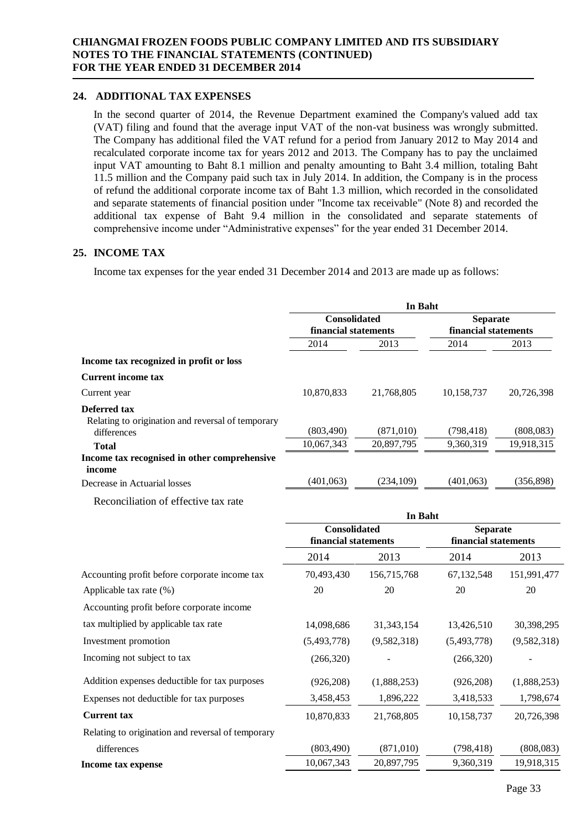## **24. ADDITIONAL TAX EXPENSES**

In the second quarter of 2014, the Revenue Department examined the Company's valued add tax (VAT) filing and found that the average input VAT of the non-vat business was wrongly submitted. The Company has additional filed the VAT refund for a period from January 2012 to May 2014 and recalculated corporate income tax for years 2012 and 2013. The Company has to pay the unclaimed input VAT amounting to Baht 8.1 million and penalty amounting to Baht 3.4 million, totaling Baht 11.5 million and the Company paid such tax in July 2014. In addition, the Company is in the process of refund the additional corporate income tax of Baht 1.3 million, which recorded in the consolidated and separate statements of financial position under "Income tax receivable" (Note 8) and recorded the additional tax expense of Baht 9.4 million in the consolidated and separate statements of comprehensive income under "Administrative expenses" for the year ended 31 December 2014.

## **25. INCOME TAX**

Income tax expenses for the year ended 31 December 2014 and 2013 are made up as follows:

|                                                                          | In Baht              |            |                                         |            |  |
|--------------------------------------------------------------------------|----------------------|------------|-----------------------------------------|------------|--|
|                                                                          | <b>Consolidated</b>  |            | <b>Separate</b><br>financial statements |            |  |
|                                                                          | financial statements |            |                                         |            |  |
|                                                                          | 2014                 | 2013       | 2014                                    | 2013       |  |
| Income tax recognized in profit or loss                                  |                      |            |                                         |            |  |
| <b>Current income tax</b>                                                |                      |            |                                         |            |  |
| Current year                                                             | 10,870,833           | 21.768.805 | 10,158,737                              | 20,726,398 |  |
| <b>Deferred tax</b><br>Relating to origination and reversal of temporary |                      |            |                                         |            |  |
| differences                                                              | (803, 490)           | (871,010)  | (798, 418)                              | (808, 083) |  |
| <b>Total</b>                                                             | 10,067,343           | 20,897,795 | 9,360,319                               | 19,918,315 |  |
| Income tax recognised in other comprehensive<br>income                   |                      |            |                                         |            |  |
| Decrease in Actuarial losses                                             | (401, 063)           | (234, 109) | (401,063)                               | (356,898)  |  |

Reconciliation of effective tax rate

|                                                   | in bant                                     |              |                                         |             |
|---------------------------------------------------|---------------------------------------------|--------------|-----------------------------------------|-------------|
|                                                   | <b>Consolidated</b><br>financial statements |              | <b>Separate</b><br>financial statements |             |
|                                                   | 2014                                        | 2013         | 2014                                    | 2013        |
| Accounting profit before corporate income tax     | 70,493,430                                  | 156,715,768  | 67,132,548                              | 151,991,477 |
| Applicable tax rate (%)                           | 20                                          | 20           | 20                                      | 20          |
| Accounting profit before corporate income         |                                             |              |                                         |             |
| tax multiplied by applicable tax rate             | 14,098,686                                  | 31, 343, 154 | 13,426,510                              | 30,398,295  |
| Investment promotion                              | (5,493,778)                                 | (9,582,318)  | (5,493,778)                             | (9,582,318) |
| Incoming not subject to tax                       | (266,320)                                   |              | (266,320)                               |             |
| Addition expenses deductible for tax purposes     | (926, 208)                                  | (1,888,253)  | (926, 208)                              | (1,888,253) |
| Expenses not deductible for tax purposes          | 3,458,453                                   | 1,896,222    | 3,418,533                               | 1,798,674   |
| <b>Current tax</b>                                | 10,870,833                                  | 21,768,805   | 10,158,737                              | 20,726,398  |
| Relating to origination and reversal of temporary |                                             |              |                                         |             |
| differences                                       | (803, 490)                                  | (871,010)    | (798, 418)                              | (808,083)   |
| Income tax expense                                | 10,067,343                                  | 20,897,795   | 9,360,319                               | 19,918,315  |
|                                                   |                                             |              |                                         |             |

**In Baht**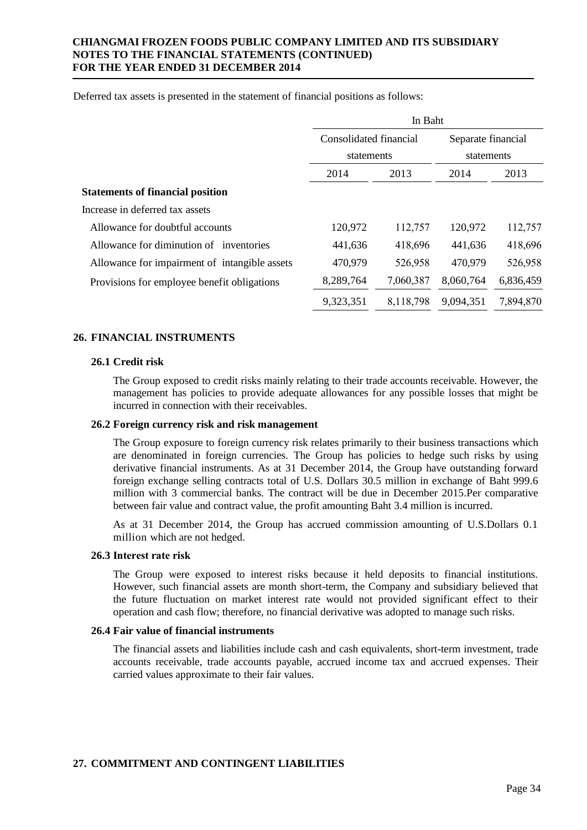Deferred tax assets is presented in the statement of financial positions as follows:

|                                               | In Baht                              |           |                                  |           |  |
|-----------------------------------------------|--------------------------------------|-----------|----------------------------------|-----------|--|
|                                               | Consolidated financial<br>statements |           | Separate financial<br>statements |           |  |
|                                               |                                      |           |                                  |           |  |
|                                               | 2014                                 | 2013      | 2014                             | 2013      |  |
| <b>Statements of financial position</b>       |                                      |           |                                  |           |  |
| Increase in deferred tax assets               |                                      |           |                                  |           |  |
| Allowance for doubtful accounts               | 120,972                              | 112,757   | 120,972                          | 112,757   |  |
| Allowance for diminution of inventories       | 441,636                              | 418,696   | 441,636                          | 418,696   |  |
| Allowance for impairment of intangible assets | 470,979                              | 526,958   | 470,979                          | 526,958   |  |
| Provisions for employee benefit obligations   | 8,289,764                            | 7,060,387 | 8,060,764                        | 6,836,459 |  |
|                                               | 9,323,351                            | 8,118,798 | 9,094,351                        | 7,894,870 |  |

## **26. FINANCIAL INSTRUMENTS**

#### **26.1 Credit risk**

The Group exposed to credit risks mainly relating to their trade accounts receivable. However, the management has policies to provide adequate allowances for any possible losses that might be incurred in connection with their receivables.

#### **26.2 Foreign currency risk and risk management**

The Group exposure to foreign currency risk relates primarily to their business transactions which are denominated in foreign currencies. The Group has policies to hedge such risks by using derivative financial instruments. As at 31 December 2014, the Group have outstanding forward foreign exchange selling contracts total of U.S. Dollars 30.5 million in exchange of Baht 999.6 million with 3 commercial banks. The contract will be due in December 2015.Per comparative between fair value and contract value, the profit amounting Baht 3.4 million is incurred.

As at 31 December 2014, the Group has accrued commission amounting of U.S.Dollars 0.1 million which are not hedged.

#### **26.3 Interest rate risk**

The Group were exposed to interest risks because it held deposits to financial institutions. However, such financial assets are month short-term, the Company and subsidiary believed that the future fluctuation on market interest rate would not provided significant effect to their operation and cash flow; therefore, no financial derivative was adopted to manage such risks.

#### **26.4 Fair value of financial instruments**

The financial assets and liabilities include cash and cash equivalents, short-term investment, trade accounts receivable, trade accounts payable, accrued income tax and accrued expenses. Their carried values approximate to their fair values.

#### **27. COMMITMENT AND CONTINGENT LIABILITIES**